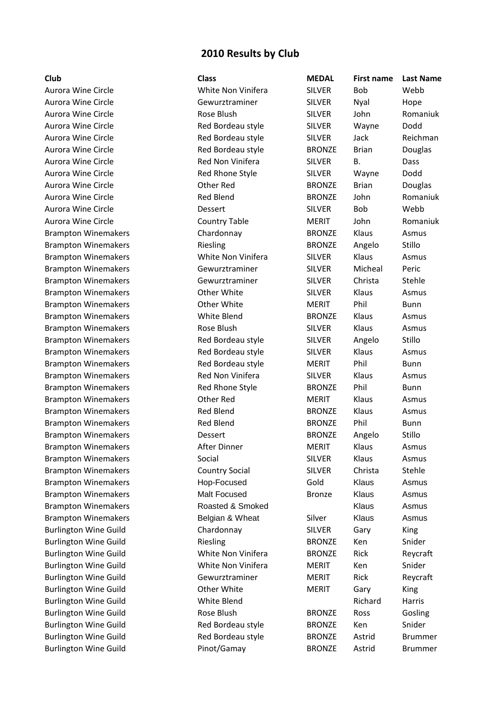## **2010 Results by Club**

| Club                         | <b>Class</b>          | <b>MEDAL</b>  | <b>First name</b> | <b>Last Name</b> |
|------------------------------|-----------------------|---------------|-------------------|------------------|
| Aurora Wine Circle           | White Non Vinifera    | <b>SILVER</b> | <b>Bob</b>        | Webb             |
| Aurora Wine Circle           | Gewurztraminer        | <b>SILVER</b> | Nyal              | Hope             |
| Aurora Wine Circle           | Rose Blush            | <b>SILVER</b> | John              | Romaniuk         |
| Aurora Wine Circle           | Red Bordeau style     | <b>SILVER</b> | Wayne             | Dodd             |
| Aurora Wine Circle           | Red Bordeau style     | <b>SILVER</b> | Jack              | Reichman         |
| Aurora Wine Circle           | Red Bordeau style     | <b>BRONZE</b> | <b>Brian</b>      | Douglas          |
| Aurora Wine Circle           | Red Non Vinifera      | <b>SILVER</b> | В.                | Dass             |
| Aurora Wine Circle           | Red Rhone Style       | <b>SILVER</b> | Wayne             | Dodd             |
| Aurora Wine Circle           | Other Red             | <b>BRONZE</b> | <b>Brian</b>      | Douglas          |
| Aurora Wine Circle           | <b>Red Blend</b>      | <b>BRONZE</b> | John              | Romaniuk         |
| Aurora Wine Circle           | Dessert               | <b>SILVER</b> | Bob               | Webb             |
| Aurora Wine Circle           | <b>Country Table</b>  | <b>MERIT</b>  | John              | Romaniuk         |
| <b>Brampton Winemakers</b>   | Chardonnay            | <b>BRONZE</b> | Klaus             | Asmus            |
| <b>Brampton Winemakers</b>   | Riesling              | <b>BRONZE</b> | Angelo            | Stillo           |
| <b>Brampton Winemakers</b>   | White Non Vinifera    | <b>SILVER</b> | Klaus             | Asmus            |
| <b>Brampton Winemakers</b>   | Gewurztraminer        | <b>SILVER</b> | Micheal           | Peric            |
| <b>Brampton Winemakers</b>   | Gewurztraminer        | <b>SILVER</b> | Christa           | Stehle           |
| <b>Brampton Winemakers</b>   | Other White           | <b>SILVER</b> | Klaus             | Asmus            |
| <b>Brampton Winemakers</b>   | Other White           | <b>MERIT</b>  | Phil              | <b>Bunn</b>      |
| <b>Brampton Winemakers</b>   | White Blend           | <b>BRONZE</b> | Klaus             | Asmus            |
| <b>Brampton Winemakers</b>   | Rose Blush            | <b>SILVER</b> | Klaus             | Asmus            |
| <b>Brampton Winemakers</b>   | Red Bordeau style     | <b>SILVER</b> | Angelo            | Stillo           |
| <b>Brampton Winemakers</b>   | Red Bordeau style     | <b>SILVER</b> | Klaus             | Asmus            |
| <b>Brampton Winemakers</b>   | Red Bordeau style     | <b>MERIT</b>  | Phil              | <b>Bunn</b>      |
| <b>Brampton Winemakers</b>   | Red Non Vinifera      | <b>SILVER</b> | Klaus             | Asmus            |
| <b>Brampton Winemakers</b>   | Red Rhone Style       | <b>BRONZE</b> | Phil              | <b>Bunn</b>      |
| <b>Brampton Winemakers</b>   | Other Red             | <b>MERIT</b>  | Klaus             | Asmus            |
| <b>Brampton Winemakers</b>   | Red Blend             | <b>BRONZE</b> | Klaus             | Asmus            |
| <b>Brampton Winemakers</b>   | <b>Red Blend</b>      | <b>BRONZE</b> | Phil              | <b>Bunn</b>      |
| <b>Brampton Winemakers</b>   | Dessert               | <b>BRONZE</b> | Angelo            | Stillo           |
| <b>Brampton Winemakers</b>   | After Dinner          | <b>MERIT</b>  | Klaus             | Asmus            |
| <b>Brampton Winemakers</b>   | Social                | <b>SILVER</b> | Klaus             | Asmus            |
| <b>Brampton Winemakers</b>   | <b>Country Social</b> | <b>SILVER</b> | Christa           | Stehle           |
| <b>Brampton Winemakers</b>   | Hop-Focused           | Gold          | Klaus             | Asmus            |
| <b>Brampton Winemakers</b>   | Malt Focused          | <b>Bronze</b> | Klaus             | Asmus            |
| <b>Brampton Winemakers</b>   | Roasted & Smoked      |               | Klaus             | Asmus            |
| <b>Brampton Winemakers</b>   | Belgian & Wheat       | Silver        | Klaus             | Asmus            |
| <b>Burlington Wine Guild</b> | Chardonnay            | <b>SILVER</b> | Gary              | King             |
| <b>Burlington Wine Guild</b> | Riesling              | <b>BRONZE</b> | Ken               | Snider           |
| <b>Burlington Wine Guild</b> | White Non Vinifera    | <b>BRONZE</b> | Rick              | Reycraft         |
| <b>Burlington Wine Guild</b> | White Non Vinifera    | <b>MERIT</b>  | Ken               | Snider           |
| <b>Burlington Wine Guild</b> | Gewurztraminer        | <b>MERIT</b>  | Rick              | Reycraft         |
| <b>Burlington Wine Guild</b> | Other White           | <b>MERIT</b>  | Gary              | King             |
| <b>Burlington Wine Guild</b> | White Blend           |               | Richard           | Harris           |
| <b>Burlington Wine Guild</b> | Rose Blush            | <b>BRONZE</b> | Ross              | Gosling          |
| <b>Burlington Wine Guild</b> | Red Bordeau style     | <b>BRONZE</b> | Ken               | Snider           |
| <b>Burlington Wine Guild</b> | Red Bordeau style     | <b>BRONZE</b> | Astrid            | <b>Brummer</b>   |
| <b>Burlington Wine Guild</b> | Pinot/Gamay           | <b>BRONZE</b> | Astrid            | <b>Brummer</b>   |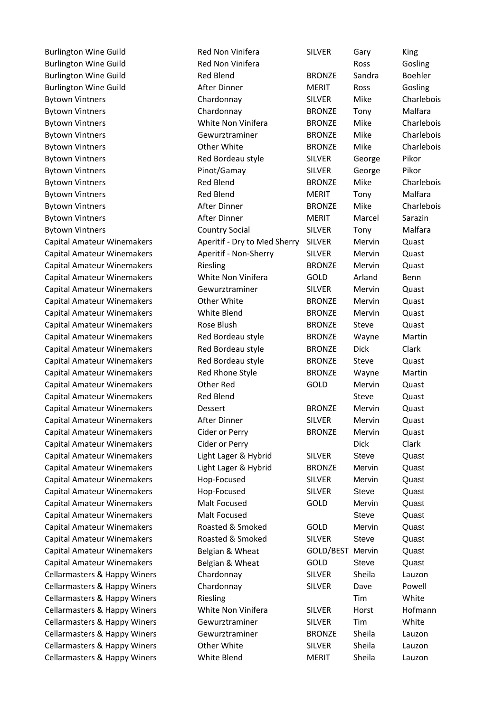Bytown Vintners **Red Bordeau style** SILVER George Pikor Bytown Vintners Pinot/Gamay SILVER George Pikor Capital Amateur Winemakers White Non Vinifera GOLD Arland Benn Capital Amateur Winemakers and Red Bordeau style BRONZE Dick Clark Capital Amateur Winemakers Cider or Perry Theory Controller Clark Clark

Burlington Wine Guild Red Non Vinifera SILVER Gary King Burlington Wine Guild **Red Non Vinifera Ross** Gosling Burlington Wine Guild **BRONZE** Sandra Boehler Burlington Wine Guild **After Dinner** MERIT Ross Gosling Bytown Vintners Chardonnay SILVER Mike Charlebois Bytown Vintners Chardonnay BRONZE Tony Malfara Bytown Vintners White Non Vinifera BRONZE Mike Charlebois Bytown Vintners Gewurztraminer BRONZE Mike Charlebois Bytown Vintners **CHART CHART CHART CHART CHART CHART CHART CHART CHART CHART CHART CHART CHART CHART CHART CHART CHART CHART CHART CHART CHART CHART CHART CHART CHART CHART CHART CHART CHART CHART CHART CHART CHART CHART C** Bytown Vintners **Red Blend** BRONZE Mike Charlebois Bytown Vintners **Red Blend** MERIT Tony Malfara Bytown Vintners **After Dinner** BRONZE Mike Charlebois **BRONZE** Bytown Vintners **After Dinner** MERIT Marcel Sarazin Bytown Vintners Country Social SILVER Tony Malfara Capital Amateur Winemakers **Aperitif - Dry to Med Sherry SILVER** Mervin Quast Capital Amateur Winemakers Aperitif - Non-Sherry SILVER Mervin Quast Capital Amateur Winemakers Riesling BRONZE Mervin Quast Capital Amateur Winemakers Gewurztraminer SILVER Mervin Quast Capital Amateur Winemakers Other White BRONZE Mervin Quast Capital Amateur Winemakers White Blend BRONZE Mervin Quast Capital Amateur Winemakers Rose Blush BRONZE Steve Quast Capital Amateur Winemakers Red Bordeau style BRONZE Wayne Martin Capital Amateur Winemakers Red Bordeau style BRONZE Steve Quast Capital Amateur Winemakers Red Rhone Style BRONZE Wayne Martin Capital Amateur Winemakers Other Red GOLD Mervin Quast Capital Amateur Winemakers **Red Blend** Steve Guast Capital Amateur Winemakers Dessert BRONZE Mervin Quast Capital Amateur Winemakers After Dinner SILVER Mervin Quast Capital Amateur Winemakers Cider or Perry BRONZE Mervin Quast Capital Amateur Winemakers and Light Lager & Hybrid SILVER Steve Quast Capital Amateur Winemakers **Light Lager & Hybrid** BRONZE Mervin Quast Capital Amateur Winemakers Hop-Focused SILVER Mervin Quast Capital Amateur Winemakers Hop-Focused SILVER Steve Quast Capital Amateur Winemakers Malt Focused GOLD Mervin Quast Capital Amateur Winemakers Malt Focused Steve Quast Capital Amateur Winemakers Roasted & Smoked GOLD Mervin Quast Capital Amateur Winemakers Roasted & Smoked SILVER Steve Quast Capital Amateur Winemakers Belgian & Wheat GOLD/BEST Mervin Quast Capital Amateur Winemakers **Belgian & Wheat** GOLD Steve Quast Cellarmasters & Happy Winers Chardonnay SILVER Sheila Lauzon Cellarmasters & Happy Winers Chardonnay SILVER Dave Powell Cellarmasters & Happy Winers Tim Riesling Tim Tim White Cellarmasters & Happy Winers **White Non Vinifera** SILVER Horst Hofmann Cellarmasters & Happy Winers Gewurztraminer SILVER Tim White Cellarmasters & Happy Winers Gewurztraminer BRONZE Sheila Lauzon Cellarmasters & Happy Winers Other White SILVER Sheila Lauzon Cellarmasters & Happy Winers White Blend MERIT Sheila Lauzon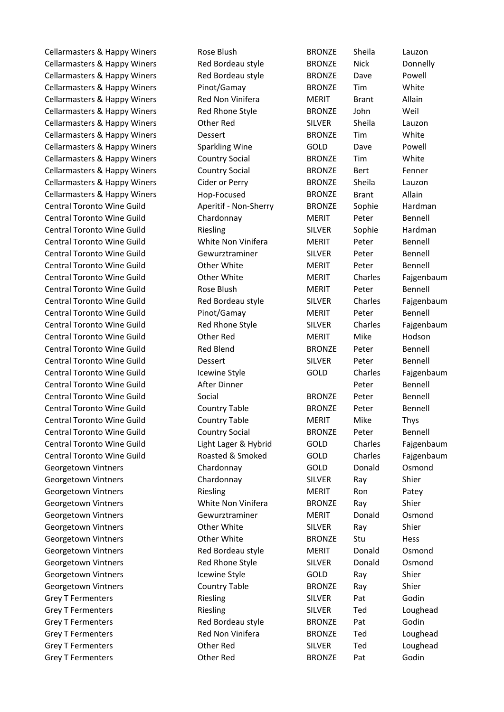Cellarmasters & Happy Winers The Red Bordeau style BRONZE Nick Bonnelly Cellarmasters & Happy Winers The Red Bordeau style BRONZE Dave Powell Cellarmasters & Happy Winers Pinot/Gamay BRONZE Tim White Cellarmasters & Happy Winers and Red Non Vinifera MERIT Brant Allain Cellarmasters & Happy Winers and Red Rhone Style BRONZE John Weil Cellarmasters & Happy Winers Other Red SILVER Sheila Lauzon Cellarmasters & Happy Winers Dessert BRONZE Tim White Cellarmasters & Happy Winers Sparkling Wine GOLD Dave Powell Cellarmasters & Happy Winers Country Social BRONZE Tim White Cellarmasters & Happy Winers Country Social BRONZE Bert Fenner Cellarmasters & Happy Winers Cider or Perry BRONZE Sheila Lauzon Cellarmasters & Happy Winers and Hop-Focused BRONZE Brant Allain Central Toronto Wine Guild Aperitif - Non-Sherry BRONZE Sophie Hardman Central Toronto Wine Guild Chardonnay Chardonnay MERIT Peter Bennell Central Toronto Wine Guild Riesling SILVER Sophie Hardman Central Toronto Wine Guild **White Non Vinifera** MERIT Peter Bennell Central Toronto Wine Guild Gewurztraminer SILVER Peter Bennell Central Toronto Wine Guild **Other White Central MERIT** Peter Bennell Central Toronto Wine Guild **Other White** MERIT Charles Faigenbaum Central Toronto Wine Guild **Rose Blush MERIT** Peter Bennell Central Toronto Wine Guild Red Bordeau style SILVER Charles Fajgenbaum Central Toronto Wine Guild **Pinot/Gamay** MERIT Peter Bennell Central Toronto Wine Guild **Red Rhone Style** SILVER Charles Fajgenbaum Central Toronto Wine Guild **Central Toronto Wine Guild** Other Red MERIT Mike Hodson Central Toronto Wine Guild Red Blend BRONZE Peter Bennell Central Toronto Wine Guild Dessert SILVER Peter Bennell Central Toronto Wine Guild Cewine Style GOLD Charles Fajgenbaum Central Toronto Wine Guild **After Dinner Peter** Bennell Central Toronto Wine Guild Social Social BRONZE Peter Bennell Central Toronto Wine Guild Country Table BRONZE Peter Bennell Central Toronto Wine Guild Country Table MERIT Mike Thys Central Toronto Wine Guild Country Social BRONZE Peter Bennell Central Toronto Wine Guild Light Lager & Hybrid GOLD Charles Fajgenbaum Central Toronto Wine Guild Roasted & Smoked GOLD Charles Fajgenbaum Georgetown Vintners **Chardonnay** Chardonnay GOLD Donald Osmond Georgetown Vintners **Chardonnay** SILVER Ray Shier Georgetown Vintners **Riesling** MERIT Ron Patey Georgetown Vintners **Million Communist Contract Contract Contract Contract Contract Contract Contract Contract Contract Contract Contract Contract Contract Contract Contract Contract Contract Contract Contract Contract Con** Georgetown Vintners Gewurztraminer MERIT Donald Osmond Georgetown Vintners **CEO CORTAGE CONTENT CONTENT CONTENT** SILVER Ray Shier Georgetown Vintners **CEO CONTENT CONTENT CONTENT CONTENT** BRONZE Stu Hess Georgetown Vintners **Red Bordeau style** MERIT Donald Osmond Georgetown Vintners **Red Rhone Style** SILVER Donald Osmond Georgetown Vintners **In the Style COLD** Ray Shier Georgetown Vintners **Country Table** BRONZE Ray Shier Grey T Fermenters **SILVER** Pat Godin Grey T Fermenters **EXECUTE:** Riesling Text SILVER Ted Loughead Grey T Fermenters **Red Bordeau style** BRONZE Pat Godin Grey T Fermenters **EXECUTE:** Red Non Vinifera BRONZE Ted Loughead Grey T Fermenters **COLOUGE CORRECTES** Other Red SILVER Ted Loughead Grey T Fermenters **CELL COMET Red** BRONZE Pat Godin

Cellarmasters & Happy Winers and Rose Blush BRONZE Sheila Lauzon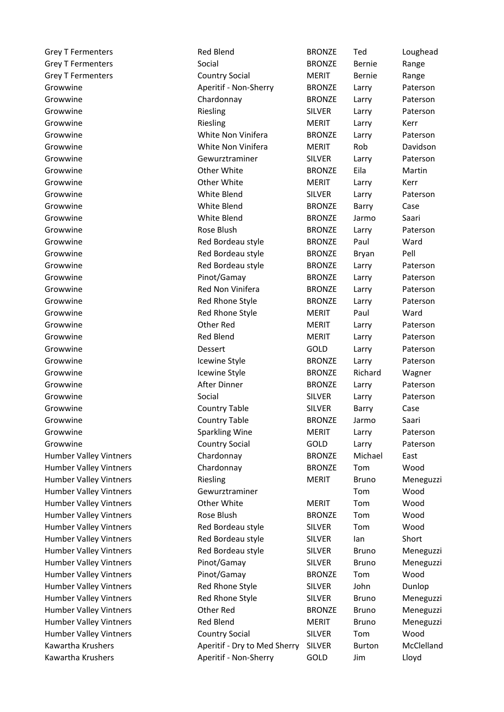| <b>Grey T Fermenters</b>      | <b>Red Blend</b>             | <b>BRONZE</b> | Ted           | Loughead   |
|-------------------------------|------------------------------|---------------|---------------|------------|
| <b>Grey T Fermenters</b>      | Social                       | <b>BRONZE</b> | Bernie        | Range      |
| <b>Grey T Fermenters</b>      | <b>Country Social</b>        | <b>MERIT</b>  | Bernie        | Range      |
| Growwine                      | Aperitif - Non-Sherry        | <b>BRONZE</b> | Larry         | Paterson   |
| Growwine                      | Chardonnay                   | <b>BRONZE</b> | Larry         | Paterson   |
| Growwine                      | Riesling                     | <b>SILVER</b> | Larry         | Paterson   |
| Growwine                      | Riesling                     | <b>MERIT</b>  | Larry         | Kerr       |
| Growwine                      | White Non Vinifera           | <b>BRONZE</b> | Larry         | Paterson   |
| Growwine                      | White Non Vinifera           | <b>MERIT</b>  | Rob           | Davidson   |
| Growwine                      | Gewurztraminer               | <b>SILVER</b> | Larry         | Paterson   |
| Growwine                      | Other White                  | <b>BRONZE</b> | Eila          | Martin     |
| Growwine                      | Other White                  | <b>MERIT</b>  | Larry         | Kerr       |
| Growwine                      | White Blend                  | <b>SILVER</b> | Larry         | Paterson   |
| Growwine                      | White Blend                  | <b>BRONZE</b> | Barry         | Case       |
| Growwine                      | White Blend                  | <b>BRONZE</b> | Jarmo         | Saari      |
| Growwine                      | Rose Blush                   | <b>BRONZE</b> | Larry         | Paterson   |
| Growwine                      | Red Bordeau style            | <b>BRONZE</b> | Paul          | Ward       |
| Growwine                      | Red Bordeau style            | <b>BRONZE</b> | Bryan         | Pell       |
| Growwine                      | Red Bordeau style            | <b>BRONZE</b> | Larry         | Paterson   |
| Growwine                      | Pinot/Gamay                  | <b>BRONZE</b> | Larry         | Paterson   |
| Growwine                      | Red Non Vinifera             | <b>BRONZE</b> | Larry         | Paterson   |
| Growwine                      | Red Rhone Style              | <b>BRONZE</b> | Larry         | Paterson   |
| Growwine                      | Red Rhone Style              | <b>MERIT</b>  | Paul          | Ward       |
| Growwine                      | Other Red                    | <b>MERIT</b>  | Larry         | Paterson   |
| Growwine                      | <b>Red Blend</b>             | <b>MERIT</b>  | Larry         | Paterson   |
| Growwine                      | Dessert                      | GOLD          | Larry         | Paterson   |
| Growwine                      | Icewine Style                | <b>BRONZE</b> | Larry         | Paterson   |
| Growwine                      | Icewine Style                | <b>BRONZE</b> | Richard       | Wagner     |
| Growwine                      | After Dinner                 | <b>BRONZE</b> | Larry         | Paterson   |
| Growwine                      | Social                       | <b>SILVER</b> | Larry         | Paterson   |
| Growwine                      | <b>Country Table</b>         | <b>SILVER</b> | Barry         | Case       |
| Growwine                      | <b>Country Table</b>         | <b>BRONZE</b> | Jarmo         | Saari      |
| Growwine                      | <b>Sparkling Wine</b>        | <b>MERIT</b>  | Larry         | Paterson   |
| Growwine                      | <b>Country Social</b>        | GOLD          | Larry         | Paterson   |
| Humber Valley Vintners        | Chardonnay                   | <b>BRONZE</b> | Michael       | East       |
| <b>Humber Valley Vintners</b> | Chardonnay                   | <b>BRONZE</b> | Tom           | Wood       |
| Humber Valley Vintners        | Riesling                     | <b>MERIT</b>  | <b>Bruno</b>  | Meneguzzi  |
| <b>Humber Valley Vintners</b> | Gewurztraminer               |               | Tom           | Wood       |
| Humber Valley Vintners        | Other White                  | <b>MERIT</b>  | Tom           | Wood       |
| <b>Humber Valley Vintners</b> | Rose Blush                   | <b>BRONZE</b> | Tom           | Wood       |
| <b>Humber Valley Vintners</b> | Red Bordeau style            | <b>SILVER</b> | Tom           | Wood       |
| Humber Valley Vintners        | Red Bordeau style            | <b>SILVER</b> | lan           | Short      |
| Humber Valley Vintners        | Red Bordeau style            | <b>SILVER</b> | <b>Bruno</b>  | Meneguzzi  |
| <b>Humber Valley Vintners</b> | Pinot/Gamay                  | <b>SILVER</b> | <b>Bruno</b>  | Meneguzzi  |
| Humber Valley Vintners        | Pinot/Gamay                  | <b>BRONZE</b> | Tom           | Wood       |
| Humber Valley Vintners        | Red Rhone Style              | <b>SILVER</b> | John          | Dunlop     |
| Humber Valley Vintners        | Red Rhone Style              | <b>SILVER</b> | <b>Bruno</b>  | Meneguzzi  |
| Humber Valley Vintners        | Other Red                    | <b>BRONZE</b> | <b>Bruno</b>  | Meneguzzi  |
| Humber Valley Vintners        | <b>Red Blend</b>             | <b>MERIT</b>  | <b>Bruno</b>  | Meneguzzi  |
| Humber Valley Vintners        | <b>Country Social</b>        | <b>SILVER</b> | Tom           | Wood       |
| Kawartha Krushers             | Aperitif - Dry to Med Sherry | <b>SILVER</b> | <b>Burton</b> | McClelland |
| Kawartha Krushers             | Aperitif - Non-Sherry        | GOLD          | Jim           | Lloyd      |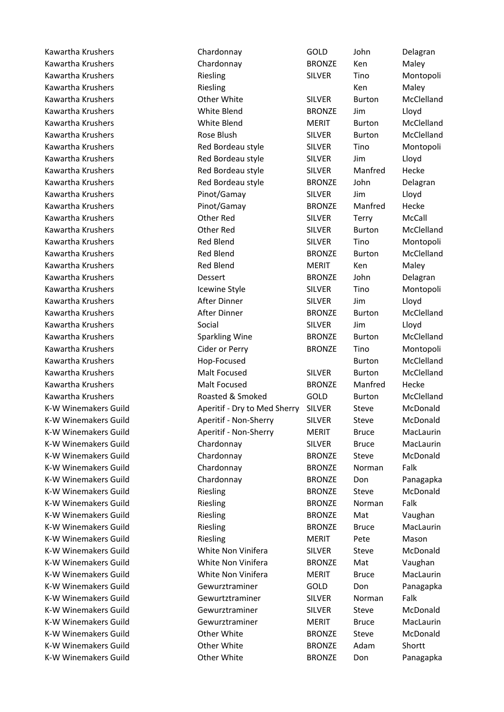Kawartha Krushers Chardonnay GOLD John Delagran Kawartha Krushers Chardonnay BRONZE Ken Maley Kawartha Krushers **Riesling** SILVER Tino Montopoli Kawartha Krushers **Kawartha Krushers** Ken Maley Kawartha Krushers **SILVER** Burton McClelland Kawartha Krushers White Blend BRONZE Jim Lloyd Kawartha Krushers White Blend MERIT Burton McClelland Kawartha Krushers **Rose Blush** SILVER Burton McClelland Kawartha Krushers Red Bordeau style SILVER Tino Montopoli Kawartha Krushers **Red Bordeau style** SILVER Jim Lloyd Kawartha Krushers **Red Bordeau style** SILVER Manfred Hecke Kawartha Krushers **Red Bordeau style** BRONZE John Delagran Kawartha Krushers Pinot/Gamay SILVER Jim Lloyd Kawartha Krushers Pinot/Gamay BRONZE Manfred Hecke Kawartha Krushers Other Red SILVER Terry McCall Kawartha Krushers Other Red SILVER Burton McClelland Kawartha Krushers Red Blend SILVER Tino Montopoli Kawartha Krushers **Red Blend** BRONZE Burton McClelland Kawartha Krushers **Red Blend** MERIT Ken Maley Kawartha Krushers **National State Constructs** Dessert **BRONZE** John Delagran Kawartha Krushers **In the Style SILVER** Tino Montopoli Kawartha Krushers **After Dinner** SILVER Jim Lloyd University After Dinner Kawartha Krushers **Kawartha Krushers** After Dinner **BRONZE** Burton McClelland Kawartha Krushers Social SILVER Jim Lloyd Kawartha Krushers **Sparkling Wine** BRONZE Burton McClelland Kawartha Krushers **Kawartha Krushers** Cider or Perry **BRONZE** Tino Montopoli Kawartha Krushers **Kawartha Krushers** Hop-Focused **Burton** Burton McClelland Kawartha Krushers Malt Focused SILVER Burton McClelland Kawartha Krushers **Malt Focused** BRONZE Manfred Hecke Kawartha Krushers **Roasted & Smoked** GOLD Burton McClelland K-W Winemakers Guild **Aperitif - Dry to Med Sherry SILVER** Steve McDonald K-W Winemakers Guild **Aperitif - Non-Sherry SILVER** Steve McDonald K-W Winemakers Guild **Aperitif - Non-Sherry** MERIT Bruce MacLaurin K-W Winemakers Guild **Chardonnay** Chardonnay SILVER Bruce MacLaurin K-W Winemakers Guild Chardonnay BRONZE Steve McDonald K-W Winemakers Guild Chardonnay BRONZE Norman Falk K-W Winemakers Guild Chardonnay BRONZE Don Panagapka K-W Winemakers Guild **Riesling** Riesling BRONZE Steve McDonald K-W Winemakers Guild **Riesling Riesling** BRONZE Norman Falk K-W Winemakers Guild **Riesling Riesling** BRONZE Mat Vaughan K-W Winemakers Guild **Riesling** Riesling BRONZE Bruce MacLaurin K-W Winemakers Guild **Riesling** MERIT Pete Mason K-W Winemakers Guild White Non Vinifera SILVER Steve McDonald K-W Winemakers Guild White Non Vinifera BRONZE Mat Vaughan K-W Winemakers Guild **Millet White Non Vinifera** MERIT Bruce MacLaurin K-W Winemakers Guild **Gewurztraminer** GOLD Don Panagapka K-W Winemakers Guild Gewurtztraminer SILVER Norman Falk K-W Winemakers Guild Gewurztraminer SILVER Steve McDonald K-W Winemakers Guild **Gewurztraminer** MERIT Bruce MacLaurin K-W Winemakers Guild 
(Castle of Other White  $\begin{array}{ccc} \text{BRONZE} & \text{Steve} & \text{McDonald} \\ \end{array}$ K-W Winemakers Guild Other White BRONZE Adam Shortt K-W Winemakers Guild **Communist Communist Communist Communist Communist Communist Communist Communist Communist Communist Communist Communist Communist Communist Communist Communist Communist Communist Communist Communist**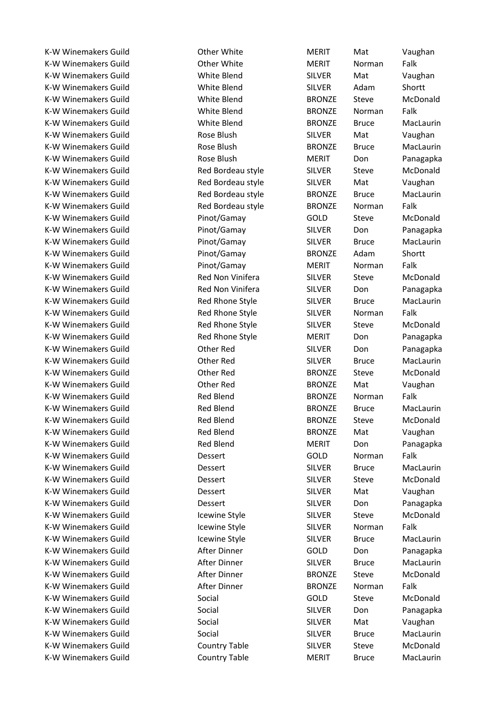K-W Winemakers Guild **Canadia Communist Communist Communist Communist Communist Communist Communist Communist Communist Communist Communist Communist Communist Communist Communist Communist Communist Communist Communist Co** K-W Winemakers Guild **SILVER** Mat Vaughan K-W Winemakers Guild White Blend SILVER Adam Shortt K-W Winemakers Guild White Blend BRONZE Steve McDonald K-W Winemakers Guild **State Blend** White Blend BRONZE Norman Falk K-W Winemakers Guild **White Blend** BRONZE Bruce MacLaurin K-W Winemakers Guild **Rose Blush** Rose Blush SILVER Mat Vaughan K-W Winemakers Guild **Rose Blush** BRONZE Bruce MacLaurin K-W Winemakers Guild **Rose Blush** MERIT Don Panagapka K-W Winemakers Guild Red Bordeau style SILVER Steve McDonald K-W Winemakers Guild **Red Bordeau style** SILVER Mat Vaughan K-W Winemakers Guild **Red Bordeau style** BRONZE Bruce MacLaurin K-W Winemakers Guild **Red Bordeau style** BRONZE Norman Falk K-W Winemakers Guild Pinot/Gamay GOLD Steve McDonald K-W Winemakers Guild **No. 2. Example 21 Pinot/Gamay** SILVER Don Panagapka K-W Winemakers Guild Pinot/Gamay SILVER Bruce MacLaurin K-W Winemakers Guild **Pinot/Gamay** BRONZE Adam Shortt K-W Winemakers Guild **Network** Pinot/Gamay **MERIT** Norman Falk K-W Winemakers Guild **Red Non Vinifera** SILVER Steve McDonald K-W Winemakers Guild **Red Non Vinifera** SILVER Don Panagapka K-W Winemakers Guild **Red Rhone Style** SILVER Bruce MacLaurin K-W Winemakers Guild **Red Rhone Style SILVER** Norman Falk K-W Winemakers Guild **Red Rhone Style SILVER** Steve McDonald K-W Winemakers Guild **Red Rhone Style MERIT** Don Panagapka K-W Winemakers Guild **Communist Communist Communist Communist Communist Communist Communist Communist Communist Communist Communist Communist Communist Communist Communist Communist Communist Communist Communist Communist** K-W Winemakers Guild Other Red SILVER Bruce MacLaurin K-W Winemakers Guild **Communist Contract Contract Contract Contract Contract Contract Contract Contract Contract Contract Contract Contract Contract Contract Contract Contract Contract Contract Contract Contract Contract C** K-W Winemakers Guild **Communist Contract Contract Contract Contract Contract Contract Contract Contract Contract Contract Contract Contract Contract Contract Contract Contract Contract Contract Contract Contract Contract C** K-W Winemakers Guild **Red Blend** Red Blend BRONZE Norman Falk K-W Winemakers Guild **Red Blend** BRONZE Bruce MacLaurin K-W Winemakers Guild **Red Blend** BRONZE Steve McDonald K-W Winemakers Guild **Red Blend** Red Blend BRONZE Mat Vaughan K-W Winemakers Guild **Red Blend** Red Blend MERIT Don Panagapka K-W Winemakers Guild **Dessert** COLD Norman Falk K-W Winemakers Guild **SILWER** Bruce MacLaurin Bruce Bruce Bruce Bruce Bruce Bruce Bruce Bruce Bruce Bruce Bruce B K-W Winemakers Guild **Silvers** Dessert Constant SILVER Steve McDonald K-W Winemakers Guild **Dessert** Constanting SILVER Mat Vaughan K-W Winemakers Guild **Silvers** Dessert Connection SILVER Don Panagapka K-W Winemakers Guild Icewine Style SILVER Steve McDonald K-W Winemakers Guild The Icewine Style The SILVER Norman Falk K-W Winemakers Guild The Icewine Style SILVER Bruce MacLaurin K-W Winemakers Guild **After Dinner** After GOLD Don Panagapka K-W Winemakers Guild **After Dinner** SILVER Bruce MacLaurin K-W Winemakers Guild **After Dinner** BRONZE Steve McDonald K-W Winemakers Guild **After Dinner After Dinner** BRONZE Norman Falk K-W Winemakers Guild Social GOLD Steve McDonald K-W Winemakers Guild Social Social SILVER Don Panagapka K-W Winemakers Guild **Social** Social SILVER Mat Vaughan K-W Winemakers Guild Social SILVER Bruce MacLaurin K-W Winemakers Guild Country Table SILVER Steve McDonald K-W Winemakers Guild **Country Table** MERIT Bruce MacLaurin

K-W Winemakers Guild **Communist Communist Communist Communist Communist Communist Communist Communist Communist Communist Communist Communist Communist Communist Communist Communist Communist Communist Communist Communist**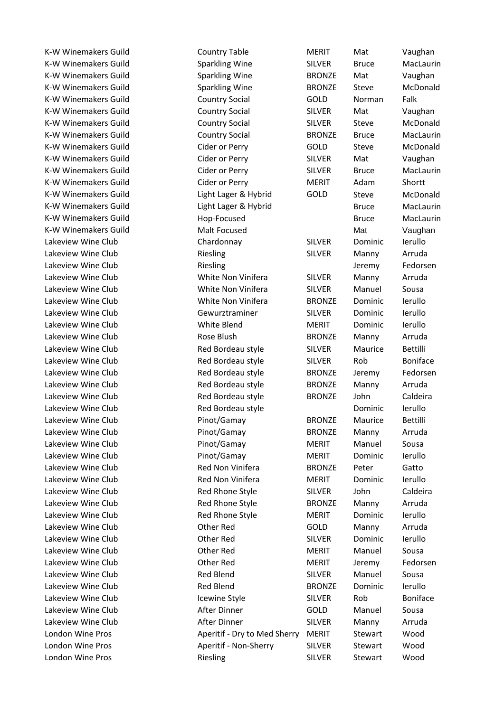K-W Winemakers Guild Sparkling Wine SILVER Bruce MacLaurin K-W Winemakers Guild Sparkling Wine BRONZE Mat Vaughan K-W Winemakers Guild Sparkling Wine BRONZE Steve McDonald K-W Winemakers Guild Country Social GOLD Norman Falk K-W Winemakers Guild Country Social SILVER Mat Vaughan K-W Winemakers Guild **Country Social SILVER** Steve McDonald K-W Winemakers Guild **Country Social** BRONZE Bruce MacLaurin K-W Winemakers Guild Cider or Perry GOLD Steve McDonald K-W Winemakers Guild **Cider or Perry SILVER** Mat Vaughan K-W Winemakers Guild 
Sill Cider or Perry The SILVER Bruce MacLaurin K-W Winemakers Guild Cider or Perry MERIT Adam Shortt K-W Winemakers Guild Light Lager & Hybrid GOLD Steve McDonald K-W Winemakers Guild 
Bruce Communist Light Lager & Hybrid Bruce Bruce MacLaurin K-W Winemakers Guild **Bruce** Hop-Focused **Bruce** Bruce MacLaurin K-W Winemakers Guild **Malt Focused** Malt Focused Mat Mat Vaughan Lakeview Wine Club Chardonnay SILVER Dominic Ierullo Lakeview Wine Club **Riesling** SILVER Manny Arruda Lakeview Wine Club **Riesling** Riesling **Club Riesling Club** Jeremy Fedorsen Lakeview Wine Club White Non Vinifera SILVER Manny Arruda Lakeview Wine Club **White Non Vinifera** SILVER Manuel Sousa Lakeview Wine Club White Non Vinifera BRONZE Dominic Ierullo Lakeview Wine Club Gewurztraminer SILVER Dominic Ierullo Lakeview Wine Club White Blend MERIT Dominic Ierullo Lakeview Wine Club **Rose Blush** BRONZE Manny Arruda Lakeview Wine Club **Red Bordeau style** SILVER Maurice Bettilli Lakeview Wine Club **Red Bordeau style** SILVER Rob Boniface Lakeview Wine Club **Red Bordeau style** BRONZE Jeremy Fedorsen Lakeview Wine Club **Red Bordeau style** BRONZE Manny Arruda Lakeview Wine Club Red Bordeau style BRONZE John Caldeira Lakeview Wine Club **Red Bordeau style Red Bordeau style** Dominic Ierullo Lakeview Wine Club **Pinot/Gamay** BRONZE Maurice Bettilli Lakeview Wine Club Pinot/Gamay BRONZE Manny Arruda Lakeview Wine Club **Pinot/Gamay** MERIT Manuel Sousa Lakeview Wine Club Pinot/Gamay MERIT Dominic Ierullo Lakeview Wine Club **Red Non Vinifera** BRONZE Peter Gatto Lakeview Wine Club **Red Non Vinifera** MERIT Dominic Ierullo Lakeview Wine Club **Red Rhone Style** SILVER John Caldeira Lakeview Wine Club **Red Rhone Style** BRONZE Manny Arruda Lakeview Wine Club **Red Rhone Style** MERIT Dominic Ierullo Lakeview Wine Club Other Red GOLD Manny Arruda Lakeview Wine Club Other Red SILVER Dominic Ierullo Lakeview Wine Club Other Red MERIT Manuel Sousa Lakeview Wine Club Other Red MERIT Jeremy Fedorsen Lakeview Wine Club Red Blend SILVER Manuel Sousa Lakeview Wine Club **Red Blend** BRONZE Dominic Ierullo Lakeview Wine Club **Icewine Style** SILVER Rob Boniface Lakeview Wine Club After Dinner GOLD Manuel Sousa Lakeview Wine Club After Dinner SILVER Manny Arruda London Wine Pros **Aperitif - Dry to Med Sherry MERIT** Stewart Wood London Wine Pros **Aperitif - Non-Sherry** SILVER Stewart Wood London Wine Pros **Riesling** SILVER Stewart Wood

K-W Winemakers Guild Country Table MERIT Mat Vaughan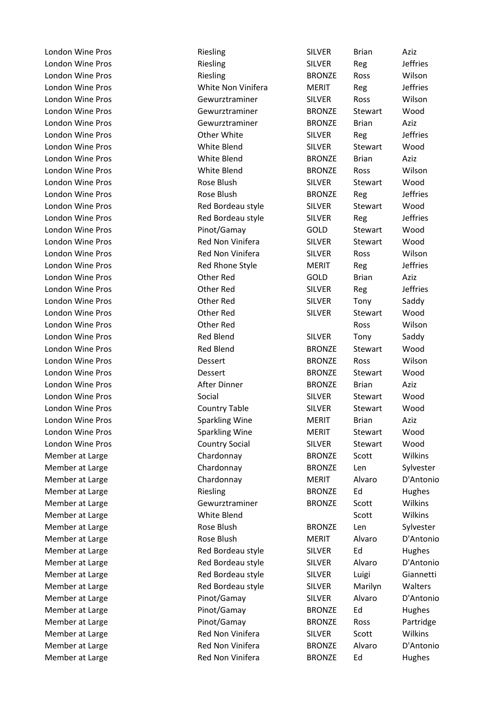London Wine Pros **Riesling** SILVER Brian Aziz London Wine Pros **Example 2** Riesling The SILVER Reg are leffries London Wine Pros **Riesling** Riesling **BRONZE** Ross Wilson London Wine Pros **NERIT** Reg are MERIT Reg and MERIT Reg London Wine Pros Gewurztraminer SILVER Ross Wilson London Wine Pros Gewurztraminer BRONZE Stewart Wood London Wine Pros Gewurztraminer BRONZE Brian Aziz London Wine Pros Other White SILVER Reg Jeffries London Wine Pros White Blend SILVER Stewart Wood London Wine Pros White Blend BRONZE Brian Aziz London Wine Pros White Blend BRONZE Ross Wilson London Wine Pros **Rose Blush** SILVER Stewart Wood London Wine Pros **Rose Blush** BRONZE Reg Jeffries London Wine Pros **Red Bordeau style** SILVER Stewart Wood London Wine Pros **Red Bordeau style** SILVER Reg Jeffries London Wine Pros Pinot/Gamay GOLD Stewart Wood London Wine Pros **Red Non Vinifera** SILVER Stewart Wood London Wine Pros Red Non Vinifera SILVER Ross Wilson London Wine Pros **Red Rhone Style** MERIT Reg Jeffries London Wine Pros Other Red GOLD Brian Aziz London Wine Pros Other Red SILVER Reg Jeffries London Wine Pros **COLOUT CONTACT CONTRACT CONTRACT CONTRACT CONTRACT CONTRACT CONTRACT CONTRACT CONTRACT CONTR** London Wine Pros Other Red SILVER Stewart Wood London Wine Pros Other Red Ross Wilson London Wine Pros **Red Blend** SILVER Tony Saddy London Wine Pros **Red Blend** BRONZE Stewart Wood London Wine Pros Dessert BRONZE Ross Wilson London Wine Pros **CONCO EXECUTE:** Dessert The BRONZE Stewart Wood London Wine Pros **After Dinner** BRONZE Brian Aziz London Wine Pros Social SILVER Stewart Wood London Wine Pros Country Table SILVER Stewart Wood London Wine Pros Sparkling Wine MERIT Brian Aziz London Wine Pros **Sparkling Wine** MERIT Stewart Wood London Wine Pros Country Social SILVER Stewart Wood Member at Large Chardonnay BRONZE Scott Wilkins Member at Large Chardonnay BRONZE Len Sylvester Member at Large Chardonnay MERIT Alvaro D'Antonio Member at Large The Riesling Communication Communication Communication Riesling Communication BRONZE Ed Hughes Member at Large The Gewurztraminer The BRONZE Scott The Wilkins Member at Large The Scott Wilkins Controller Member at Large The Scott Wilkins Member at Large The Sylvester Constants BRONZE Len Sylvester Member at Large The Rose Blush MERIT Alvaro D'Antonio Member at Large The State Red Bordeau style SILVER Ed Hughes Member at Large The Red Bordeau style SILVER Alvaro D'Antonio Member at Large The Red Bordeau style SILVER Luigi Giannetti Member at Large The State of Red Bordeau style The SILVER Marilyn Walters Member at Large Pinot/Gamay SILVER Alvaro D'Antonio Member at Large The State of Pinot/Gamay The BRONZE Ed Hughes Member at Large The State of Pinot/Gamay The BRONZE Ross Partridge Member at Large The Red Non Vinifera SILVER Scott The Wilkins Member at Large The Red Non Vinifera The BRONZE Alvaro D'Antonio Member at Large The Red Non Vinifera **BRONZE** Ed Hughes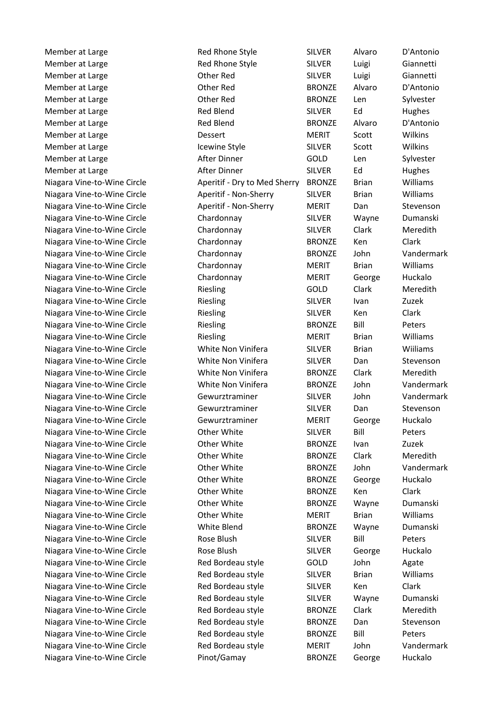Member at Large Red Rhone Style SILVER Alvaro D'Antonio Member at Large The Steel Rhone Style SILVER Luigi Giannetti Member at Large Other Red SILVER Luigi Giannetti Member at Large  $\sim$  Other Red BRONZE Alvaro D'Antonio Member at Large **Communist Communist Communist Communist Communist Communist Communist Communist Communist Communist Communist Communist Communist Communist Communist Communist Communist Communist Communist Communist Commu** Member at Large The State Collection Collection Red Blend SILVER Ed Thughes Member at Large The Red Blend The BRONZE Alvaro D'Antonio Member at Large **NERIT** Scott Wilkins Member at Large The Icewine Style SILVER Scott University Member at Large Member at Large The After Dinner Cold Len Sylvester Member at Large The State After Dinner The SILVER Ed Hughes Niagara Vine-to-Wine Circle Aperitif - Dry to Med Sherry BRONZE Brian Williams Niagara Vine-to-Wine Circle **Aperitif - Non-Sherry SILVER** Brian Williams Niagara Vine-to-Wine Circle **Aperitif - Non-Sherry MERIT** Dan Stevenson Niagara Vine-to-Wine Circle Chardonnay SILVER Wayne Dumanski Niagara Vine-to-Wine Circle Chardonnay SILVER Clark Meredith Niagara Vine-to-Wine Circle Chardonnay BRONZE Ken Clark Niagara Vine-to-Wine Circle Chardonnay BRONZE John Vandermark Niagara Vine-to-Wine Circle Chardonnay MERIT Brian Williams Niagara Vine-to-Wine Circle Chardonnay MERIT George Huckalo Niagara Vine-to-Wine Circle **Riesling Communist COLD** Clark Meredith Niagara Vine-to-Wine Circle **Riesling SILVER** Ivan Zuzek Niagara Vine-to-Wine Circle **Riesling SILVER** Ken Clark Niagara Vine-to-Wine Circle **Riesling Communist Communist Communist Communist Communist Communist Communist Communist Communist Peters** Niagara Vine-to-Wine Circle **Riesling MERIT** Brian Williams Niagara Vine-to-Wine Circle White Non Vinifera SILVER Brian Wiiliams Niagara Vine-to-Wine Circle **White Non Vinifera** SILVER Dan Stevenson Niagara Vine-to-Wine Circle White Non Vinifera BRONZE Clark Meredith Niagara Vine-to-Wine Circle White Non Vinifera BRONZE John Vandermark Niagara Vine-to-Wine Circle Gewurztraminer SILVER John Vandermark Niagara Vine-to-Wine Circle **Gewurztraminer** SILVER Dan Stevenson Niagara Vine-to-Wine Circle Gewurztraminer MERIT George Huckalo Niagara Vine-to-Wine Circle **Other White** SILVER Bill Peters Niagara Vine-to-Wine Circle **Calculation Circle Circle Circle Circle Circle Circle Circle Circle Circle Circle C** Niagara Vine-to-Wine Circle **Circle** Other White **BRONZE** Clark Meredith Niagara Vine-to-Wine Circle Other White BRONZE John Vandermark Niagara Vine-to-Wine Circle **Calculation City Circle Contract Circle Circle Circle Circle Circle Circle Circle C** Niagara Vine-to-Wine Circle **Other White** BRONZE Ken Clark Niagara Vine-to-Wine Circle **Other White** BRONZE Wayne Dumanski Niagara Vine-to-Wine Circle **Circle** Other White **MERIT** Brian Williams Niagara Vine-to-Wine Circle White Blend BRONZE Wayne Dumanski Niagara Vine-to-Wine Circle **Rose Blush SILVER** Bill Peters Niagara Vine-to-Wine Circle **Rose Blush SILVER** George Huckalo Niagara Vine-to-Wine Circle Red Bordeau style GOLD John Agate Niagara Vine-to-Wine Circle **Red Bordeau style** SILVER Brian Williams Niagara Vine-to-Wine Circle **Red Bordeau style** SILVER Ken Clark Niagara Vine-to-Wine Circle Red Bordeau style SILVER Wayne Dumanski Niagara Vine-to-Wine Circle **Red Bordeau style** BRONZE Clark Meredith Niagara Vine-to-Wine Circle **Red Bordeau style** BRONZE Dan Stevenson Niagara Vine-to-Wine Circle **Red Bordeau style** BRONZE Bill Peters Niagara Vine-to-Wine Circle **Red Bordeau style** MERIT John Vandermark Niagara Vine-to-Wine Circle Pinot/Gamay BRONZE George Huckalo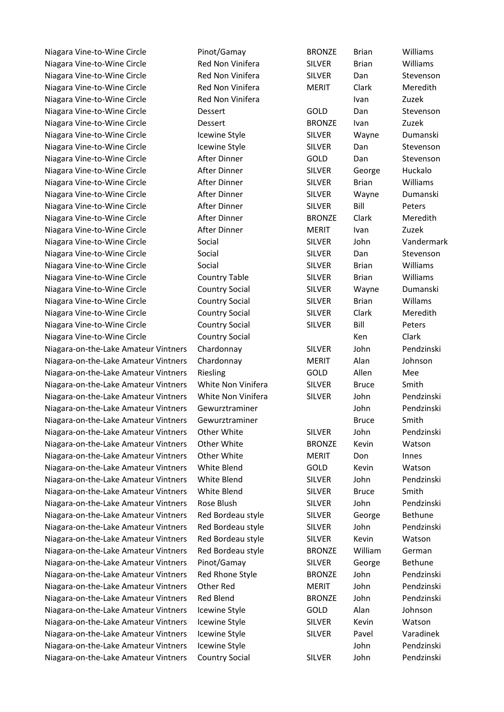Niagara Vine-to-Wine Circle **Pinot/Gamay** BRONZE Brian Williams Niagara Vine-to-Wine Circle **Red Non Vinifera** SILVER Brian Williams Niagara Vine-to-Wine Circle **Red Non Vinifera** SILVER Dan Stevenson Niagara Vine-to-Wine Circle **Red Non Vinifera** MERIT Clark Meredith Niagara Vine-to-Wine Circle **IVan Line Red Non Vinifera** Ivan Ivan Zuzek Niagara Vine-to-Wine Circle Dessert GOLD Dan Stevenson Niagara Vine-to-Wine Circle **Dessert** BRONZE Ivan Zuzek Niagara Vine-to-Wine Circle **Internal Cleates Icewine Style** SILVER Wayne Dumanski Niagara Vine-to-Wine Circle **Icewine Style** SILVER Dan Stevenson Niagara Vine-to-Wine Circle **After Dinner** GOLD Dan Stevenson Niagara Vine-to-Wine Circle **After Dinner** SILVER George Huckalo Niagara Vine-to-Wine Circle After Dinner SILVER Brian Williams Niagara Vine-to-Wine Circle After Dinner SILVER Wayne Dumanski Niagara Vine-to-Wine Circle **After Dinner** SILVER Bill Peters Niagara Vine-to-Wine Circle **After Dinner** BRONZE Clark Meredith Niagara Vine-to-Wine Circle **After Dinner** MERIT Ivan Zuzek Niagara Vine-to-Wine Circle Social SILVER John Vandermark Niagara Vine-to-Wine Circle **Social** Social SILVER Dan Stevenson Niagara Vine-to-Wine Circle Social SILVER Brian Williams Niagara Vine-to-Wine Circle Country Table SILVER Brian Williams Niagara Vine-to-Wine Circle Country Social SILVER Wayne Dumanski Niagara Vine-to-Wine Circle **Country Social** SILVER Brian Willams Niagara Vine-to-Wine Circle Country Social SILVER Clark Meredith Niagara Vine-to-Wine Circle Country Social SILVER Bill Peters Niagara Vine-to-Wine Circle **Country Social County Social** Clark

Niagara-on-the-Lake Amateur Vintners Chardonnay SILVER John Pendzinski Niagara-on-the-Lake Amateur Vintners Chardonnay MERIT Alan Johnson Niagara-on-the-Lake Amateur Vintners Riesling The COLD Allen Mee Niagara-on-the-Lake Amateur Vintners White Non Vinifera SILVER Bruce Smith Niagara-on-the-Lake Amateur Vintners White Non Vinifera SILVER John Pendzinski Niagara-on-the-Lake Amateur Vintners Gewurztraminer and Hohn Pendzinski Niagara-on-the-Lake Amateur Vintners Gewurztraminer Bruce Bruce Smith Niagara-on-the-Lake Amateur Vintners Other White SILVER John Pendzinski Niagara-on-the-Lake Amateur Vintners Other White **BRONZE** Kevin Watson Niagara-on-the-Lake Amateur Vintners Other White MERIT Don Innes Niagara-on-the-Lake Amateur Vintners White Blend GOLD Kevin Watson Niagara-on-the-Lake Amateur Vintners White Blend SILVER John Pendzinski Niagara-on-the-Lake Amateur Vintners White Blend SILVER Bruce Smith Niagara-on-the-Lake Amateur Vintners Rose Blush SILVER John Pendzinski Niagara-on-the-Lake Amateur Vintners Red Bordeau style SILVER George Bethune Niagara-on-the-Lake Amateur Vintners Red Bordeau style SILVER John Pendzinski Niagara-on-the-Lake Amateur Vintners Red Bordeau style SILVER Kevin Watson Niagara-on-the-Lake Amateur Vintners Red Bordeau style BRONZE William German Niagara-on-the-Lake Amateur Vintners Pinot/Gamay SILVER George Bethune Niagara-on-the-Lake Amateur Vintners Red Rhone Style BRONZE John Pendzinski Niagara-on-the-Lake Amateur Vintners Other Red MERIT John Pendzinski Niagara-on-the-Lake Amateur Vintners Red Blend BRONZE John Pendzinski Niagara-on-the-Lake Amateur Vintners Icewine Style GOLD Alan Johnson Niagara-on-the-Lake Amateur Vintners Icewine Style SILVER Kevin Watson Niagara-on-the-Lake Amateur Vintners Icewine Style SILVER Pavel Varadinek Niagara-on-the-Lake Amateur Vintners Icewine Style **Style Style Style Style Amateur** Pendzinski Niagara-on-the-Lake Amateur Vintners Country Social SILVER John Pendzinski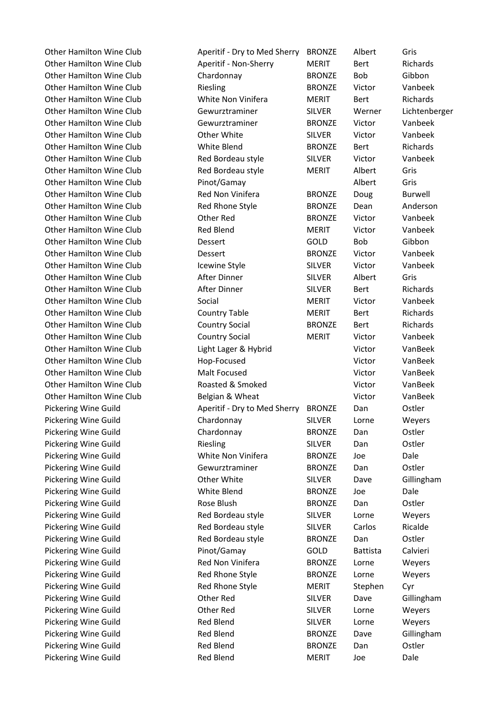Other Hamilton Wine Club Aperitif - Dry to Med Sherry BRONZE Albert Gris Other Hamilton Wine Club Aperitif - Non-Sherry MERIT Bert Richards Other Hamilton Wine Club Chardonnay BRONZE Bob Gibbon Other Hamilton Wine Club **Riesling** Riesling BRONZE Victor Vanbeek Other Hamilton Wine Club White Non Vinifera MERIT Bert Richards Other Hamilton Wine Club Gewurztraminer SILVER Werner Lichtenberger Other Hamilton Wine Club Gewurztraminer BRONZE Victor Vanbeek Other Hamilton Wine Club Other White SILVER Victor Vanbeek Other Hamilton Wine Club White Blend BRONZE Bert Richards Other Hamilton Wine Club Red Bordeau style SILVER Victor Vanbeek Other Hamilton Wine Club Red Bordeau style MERIT Albert Gris Other Hamilton Wine Club **Pinot/Gamay** Albert Gris Other Hamilton Wine Club **Red Non Vinifera** BRONZE Doug Burwell Other Hamilton Wine Club Red Rhone Style BRONZE Dean Anderson Other Hamilton Wine Club Other Red BRONZE Victor Vanbeek Other Hamilton Wine Club Red Blend MERIT Victor Vanbeek Other Hamilton Wine Club **Dessert** GOLD Bob Gibbon Other Hamilton Wine Club Dessert BRONZE Victor Vanbeek Other Hamilton Wine Club Icewine Style SILVER Victor Vanbeek Other Hamilton Wine Club After Dinner SILVER Albert Gris Other Hamilton Wine Club **After Dinner** SILVER Bert Richards Other Hamilton Wine Club Social **MERIT** Victor Vanbeek Other Hamilton Wine Club Country Table MERIT Bert Richards Other Hamilton Wine Club Country Social BRONZE Bert Richards Other Hamilton Wine Club Country Social MERIT Victor Vanbeek Other Hamilton Wine Club Light Lager & Hybrid Victor VanBeek Other Hamilton Wine Club **Hop-Focused** Hop-Focused Victor VanBeek Other Hamilton Wine Club Malt Focused Victor VanBeek Other Hamilton Wine Club Roasted & Smoked Victor VanBeek Other Hamilton Wine Club Belgian & Wheat Club Belgian & Wheat Victor VanBeek Pickering Wine Guild Aperitif - Dry to Med Sherry BRONZE Dan Ostler Pickering Wine Guild **Chardonnay** SILVER Lorne Weyers Pickering Wine Guild **Chardonnay** BRONZE Dan Ostler Pickering Wine Guild **Riesling** SILVER Dan Ostler Pickering Wine Guild White Non Vinifera BRONZE Joe Dale Pickering Wine Guild Gewurztraminer BRONZE Dan Ostler Pickering Wine Guild **Other White** SILVER Dave Gillingham Pickering Wine Guild **Contact Contact Contact Contact Contact Contact Contact Contact Contact Contact Contact Contact Contact Contact Contact Contact Contact Contact Contact Contact Contact Contact Contact Contact Contact** Pickering Wine Guild **BRONZE** Dan Ostler Pickering Wine Guild Red Bordeau style SILVER Lorne Weyers Pickering Wine Guild **Red Bordeau style** SILVER Carlos Ricalde Pickering Wine Guild **Red Bordeau style** BRONZE Dan Ostler Pickering Wine Guild Pinot/Gamay GOLD Battista Calvieri Pickering Wine Guild **Red Non Vinifera** BRONZE Lorne Weyers Pickering Wine Guild **Red Rhone Style BRONZE** Lorne Weyers Pickering Wine Guild **Red Rhone Style** MERIT Stephen Cyr Pickering Wine Guild **Communist Communist Communist Communist Communist Communist Communist Communist Communist Communist Communist Communist Communist Communist Communist Communist Communist Communist Communist Communist** Pickering Wine Guild Other Red SILVER Lorne Weyers Pickering Wine Guild **Red Blend** Red Blend SILVER Lorne Weyers Pickering Wine Guild **Red Blend** BRONZE Dave Gillingham Pickering Wine Guild **Red Blend** BRONZE Dan Ostler Pickering Wine Guild **Red Blend** MERIT Joe Dale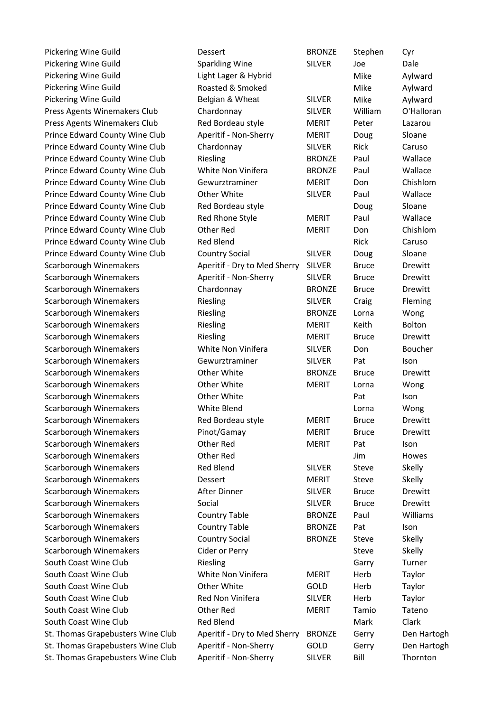| Pickering Wine Guild              | Dessert                      | <b>BRONZE</b> | Stephen      | Cyr           |
|-----------------------------------|------------------------------|---------------|--------------|---------------|
| Pickering Wine Guild              | <b>Sparkling Wine</b>        | <b>SILVER</b> | Joe          | Dale          |
| Pickering Wine Guild              | Light Lager & Hybrid         |               | Mike         | Aylward       |
| Pickering Wine Guild              | Roasted & Smoked             |               | Mike         | Aylward       |
| Pickering Wine Guild              | Belgian & Wheat              | <b>SILVER</b> | Mike         | Aylward       |
| Press Agents Winemakers Club      | Chardonnay                   | <b>SILVER</b> | William      | O'Halloran    |
| Press Agents Winemakers Club      | Red Bordeau style            | <b>MERIT</b>  | Peter        | Lazarou       |
| Prince Edward County Wine Club    | Aperitif - Non-Sherry        | <b>MERIT</b>  | Doug         | Sloane        |
| Prince Edward County Wine Club    | Chardonnay                   | <b>SILVER</b> | Rick         | Caruso        |
| Prince Edward County Wine Club    | Riesling                     | <b>BRONZE</b> | Paul         | Wallace       |
| Prince Edward County Wine Club    | White Non Vinifera           | <b>BRONZE</b> | Paul         | Wallace       |
| Prince Edward County Wine Club    | Gewurztraminer               | <b>MERIT</b>  | Don          | Chishlom      |
| Prince Edward County Wine Club    | Other White                  | <b>SILVER</b> | Paul         | Wallace       |
| Prince Edward County Wine Club    | Red Bordeau style            |               | Doug         | Sloane        |
| Prince Edward County Wine Club    | Red Rhone Style              | <b>MERIT</b>  | Paul         | Wallace       |
| Prince Edward County Wine Club    | Other Red                    | <b>MERIT</b>  | Don          | Chishlom      |
| Prince Edward County Wine Club    | <b>Red Blend</b>             |               | Rick         | Caruso        |
| Prince Edward County Wine Club    | <b>Country Social</b>        | <b>SILVER</b> | Doug         | Sloane        |
| Scarborough Winemakers            | Aperitif - Dry to Med Sherry | <b>SILVER</b> | <b>Bruce</b> | Drewitt       |
| Scarborough Winemakers            | Aperitif - Non-Sherry        | <b>SILVER</b> | <b>Bruce</b> | Drewitt       |
| Scarborough Winemakers            | Chardonnay                   | <b>BRONZE</b> | <b>Bruce</b> | Drewitt       |
| Scarborough Winemakers            | Riesling                     | <b>SILVER</b> | Craig        | Fleming       |
| Scarborough Winemakers            | Riesling                     | <b>BRONZE</b> | Lorna        | Wong          |
| Scarborough Winemakers            | Riesling                     | <b>MERIT</b>  | Keith        | <b>Bolton</b> |
| Scarborough Winemakers            | Riesling                     | <b>MERIT</b>  | <b>Bruce</b> | Drewitt       |
| Scarborough Winemakers            | White Non Vinifera           | <b>SILVER</b> | Don          | Boucher       |
| Scarborough Winemakers            | Gewurztraminer               | <b>SILVER</b> | Pat          | Ison          |
| Scarborough Winemakers            | Other White                  | <b>BRONZE</b> | <b>Bruce</b> | Drewitt       |
| Scarborough Winemakers            | Other White                  | <b>MERIT</b>  | Lorna        | Wong          |
| Scarborough Winemakers            | Other White                  |               | Pat          | Ison          |
| Scarborough Winemakers            | White Blend                  |               | Lorna        | Wong          |
| Scarborough Winemakers            | Red Bordeau style            | <b>MERIT</b>  | <b>Bruce</b> | Drewitt       |
| Scarborough Winemakers            | Pinot/Gamay                  | <b>MERIT</b>  | <b>Bruce</b> | Drewitt       |
| Scarborough Winemakers            | Other Red                    | <b>MERIT</b>  | Pat          | Ison          |
| Scarborough Winemakers            | Other Red                    |               | Jim          | Howes         |
| Scarborough Winemakers            | <b>Red Blend</b>             | <b>SILVER</b> | Steve        | Skelly        |
| Scarborough Winemakers            | Dessert                      | <b>MERIT</b>  | Steve        | Skelly        |
| Scarborough Winemakers            | After Dinner                 | <b>SILVER</b> | <b>Bruce</b> | Drewitt       |
| Scarborough Winemakers            | Social                       | <b>SILVER</b> | <b>Bruce</b> | Drewitt       |
| Scarborough Winemakers            | <b>Country Table</b>         | <b>BRONZE</b> | Paul         | Williams      |
| Scarborough Winemakers            | <b>Country Table</b>         | <b>BRONZE</b> | Pat          | Ison          |
| Scarborough Winemakers            | <b>Country Social</b>        | <b>BRONZE</b> | Steve        | Skelly        |
| Scarborough Winemakers            | Cider or Perry               |               | Steve        | Skelly        |
| South Coast Wine Club             | Riesling                     |               | Garry        | Turner        |
| South Coast Wine Club             | White Non Vinifera           | <b>MERIT</b>  | Herb         | Taylor        |
| South Coast Wine Club             | Other White                  | GOLD          | Herb         | Taylor        |
| South Coast Wine Club             | Red Non Vinifera             | <b>SILVER</b> | Herb         | Taylor        |
| South Coast Wine Club             | Other Red                    | <b>MERIT</b>  | Tamio        | Tateno        |
| South Coast Wine Club             | <b>Red Blend</b>             |               | Mark         | Clark         |
| St. Thomas Grapebusters Wine Club | Aperitif - Dry to Med Sherry | <b>BRONZE</b> | Gerry        | Den Hartogh   |
| St. Thomas Grapebusters Wine Club | Aperitif - Non-Sherry        | GOLD          | Gerry        | Den Hartogh   |
| St. Thomas Grapebusters Wine Club | Aperitif - Non-Sherry        | <b>SILVER</b> | Bill         | Thornton      |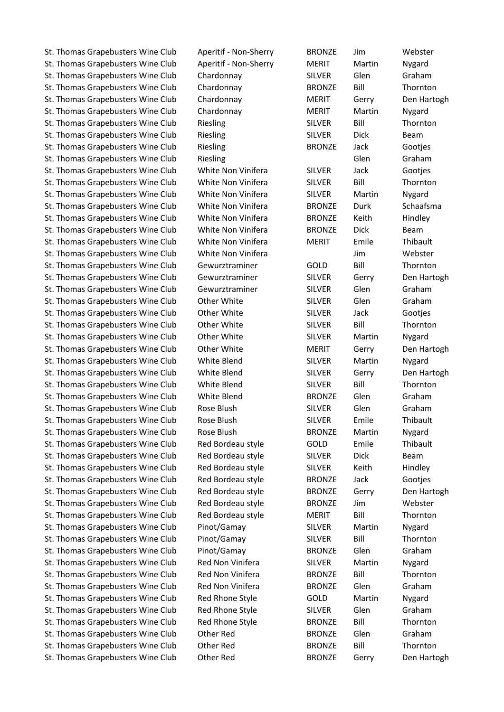St. Thomas Grapebusters Wine Club Aperitif - Non-Sherry MERIT Martin Nygard St. Thomas Grapebusters Wine Club Chardonnay SILVER Glen Graham St. Thomas Grapebusters Wine Club Chardonnay BRONZE Bill Thornton St. Thomas Grapebusters Wine Club Chardonnay MERIT Gerry Den Hartogh St. Thomas Grapebusters Wine Club Chardonnay MERIT Martin Nygard St. Thomas Grapebusters Wine Club Riesling SILVER Bill Thornton St. Thomas Grapebusters Wine Club Riesling Number SILVER Dick Beam St. Thomas Grapebusters Wine Club Riesling November BRONZE Jack Gootjes St. Thomas Grapebusters Wine Club Riesling Club Research Communication Clen Graham St. Thomas Grapebusters Wine Club White Non Vinifera SILVER Jack Gootjes St. Thomas Grapebusters Wine Club White Non Vinifera SILVER Bill Thornton St. Thomas Grapebusters Wine Club White Non Vinifera SILVER Martin Nygard St. Thomas Grapebusters Wine Club White Non Vinifera BRONZE Durk Schaafsma St. Thomas Grapebusters Wine Club White Non Vinifera BRONZE Keith Hindley St. Thomas Grapebusters Wine Club White Non Vinifera BRONZE Dick Beam St. Thomas Grapebusters Wine Club White Non Vinifera MERIT Emile Thibault St. Thomas Grapebusters Wine Club White Non Vinifera Thomas State Music Webster St. Thomas Grapebusters Wine Club Gewurztraminer GOLD Bill Thornton St. Thomas Grapebusters Wine Club Gewurztraminer SILVER Gerry Den Hartogh St. Thomas Grapebusters Wine Club Gewurztraminer SILVER Glen Graham St. Thomas Grapebusters Wine Club Other White SILVER Glen Graham St. Thomas Grapebusters Wine Club Other White Network SILVER Jack Gooties St. Thomas Grapebusters Wine Club Other White SILVER Bill Thornton St. Thomas Grapebusters Wine Club Other White SILVER Martin Nygard St. Thomas Grapebusters Wine Club Other White MERIT Gerry Den Hartogh St. Thomas Grapebusters Wine Club White Blend SILVER Martin Nygard St. Thomas Grapebusters Wine Club White Blend SILVER Gerry Den Hartogh St. Thomas Grapebusters Wine Club White Blend SILVER Bill Thornton St. Thomas Grapebusters Wine Club White Blend BRONZE Glen Graham St. Thomas Grapebusters Wine Club Rose Blush SILVER Glen Graham St. Thomas Grapebusters Wine Club Rose Blush SILVER Emile Thibault St. Thomas Grapebusters Wine Club Rose Blush BRONZE Martin Nygard St. Thomas Grapebusters Wine Club Red Bordeau style GOLD Emile Thibault St. Thomas Grapebusters Wine Club Red Bordeau style SILVER Dick Beam St. Thomas Grapebusters Wine Club Red Bordeau style SILVER Keith Hindley St. Thomas Grapebusters Wine Club Red Bordeau style BRONZE Jack Gootjes St. Thomas Grapebusters Wine Club Red Bordeau style BRONZE Gerry Den Hartogh St. Thomas Grapebusters Wine Club Red Bordeau style BRONZE Jim Webster St. Thomas Grapebusters Wine Club Red Bordeau style MERIT Bill Thornton St. Thomas Grapebusters Wine Club Pinot/Gamay SILVER Martin Nygard St. Thomas Grapebusters Wine Club Pinot/Gamay SILVER Bill Thornton St. Thomas Grapebusters Wine Club Pinot/Gamay BRONZE Glen Graham St. Thomas Grapebusters Wine Club Red Non Vinifera SILVER Martin Nygard St. Thomas Grapebusters Wine Club Red Non Vinifera BRONZE Bill BRONTE Thornton St. Thomas Grapebusters Wine Club Red Non Vinifera BRONZE Glen Graham St. Thomas Grapebusters Wine Club Red Rhone Style GOLD Martin Nygard St. Thomas Grapebusters Wine Club Red Rhone Style SILVER Glen Graham St. Thomas Grapebusters Wine Club Red Rhone Style BRONZE Bill Thornton St. Thomas Grapebusters Wine Club Other Red BRONZE Glen Graham St. Thomas Grapebusters Wine Club Other Red BRONZE Bill Thornton St. Thomas Grapebusters Wine Club Other Red BRONZE Gerry Den Hartogh

St. Thomas Grapebusters Wine Club Aperitif - Non-Sherry BRONZE Jim Webster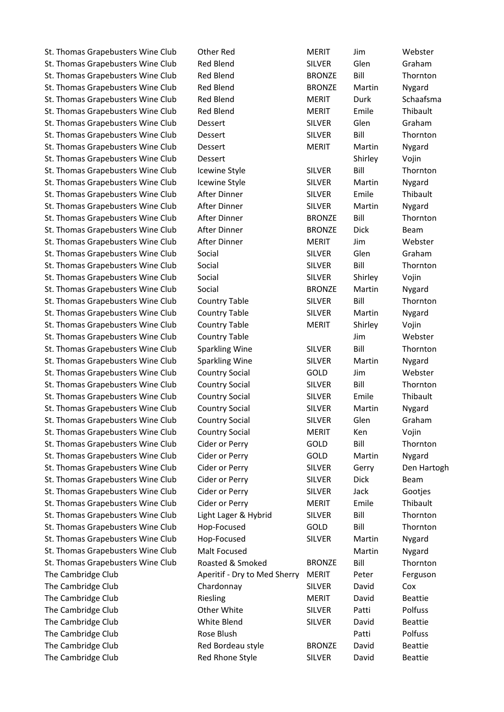St. Thomas Grapebusters Wine Club Other Red MERIT Jim Webster St. Thomas Grapebusters Wine Club Red Blend SILVER Glen Graham St. Thomas Grapebusters Wine Club Red Blend BRONZE Bill Thornton St. Thomas Grapebusters Wine Club Red Blend BRONZE Martin Nygard St. Thomas Grapebusters Wine Club Red Blend MERIT Durk Schaafsma St. Thomas Grapebusters Wine Club Red Blend MERIT Emile Thibault St. Thomas Grapebusters Wine Club Dessert SILVER Glen Graham St. Thomas Grapebusters Wine Club Dessert SILVER Bill Thornton St. Thomas Grapebusters Wine Club Dessert MERIT Martin Nygard St. Thomas Grapebusters Wine Club Dessert Shirley Dessert Shirley Vojin St. Thomas Grapebusters Wine Club Icewine Style SILVER Bill Thornton St. Thomas Grapebusters Wine Club Icewine Style SILVER Martin Nygard St. Thomas Grapebusters Wine Club After Dinner SILVER Emile Thibault St. Thomas Grapebusters Wine Club After Dinner SILVER Martin Nygard St. Thomas Grapebusters Wine Club After Dinner BRONZE Bill Thornton St. Thomas Grapebusters Wine Club After Dinner The BRONZE Dick Beam St. Thomas Grapebusters Wine Club After Dinner MERIT Jim Webster St. Thomas Grapebusters Wine Club Social SILVER Glen Graham St. Thomas Grapebusters Wine Club Social Social SILVER Bill Thornton St. Thomas Grapebusters Wine Club Social SILVER Shirley Vojin St. Thomas Grapebusters Wine Club Social BRONZE Martin Nygard St. Thomas Grapebusters Wine Club Country Table SILVER Bill Thornton St. Thomas Grapebusters Wine Club Country Table SILVER Martin Nygard St. Thomas Grapebusters Wine Club Country Table MERIT Shirley Vojin St. Thomas Grapebusters Wine Club Country Table Country Table Jim Webster St. Thomas Grapebusters Wine Club Sparkling Wine SILVER Bill Thornton St. Thomas Grapebusters Wine Club Sparkling Wine SILVER Martin Nygard St. Thomas Grapebusters Wine Club Country Social GOLD Jim Webster St. Thomas Grapebusters Wine Club Country Social SILVER Bill Thornton St. Thomas Grapebusters Wine Club Country Social SILVER Emile Thibault St. Thomas Grapebusters Wine Club Country Social SILVER Martin Nygard St. Thomas Grapebusters Wine Club Country Social SILVER Glen Graham St. Thomas Grapebusters Wine Club Country Social MERIT Ken Vojin St. Thomas Grapebusters Wine Club Cider or Perry GOLD Bill Thornton St. Thomas Grapebusters Wine Club Cider or Perry GOLD Martin Nygard St. Thomas Grapebusters Wine Club Cider or Perry SILVER Gerry Den Hartogh St. Thomas Grapebusters Wine Club Cider or Perry SILVER Dick Beam St. Thomas Grapebusters Wine Club Cider or Perry SILVER Jack Gootjes St. Thomas Grapebusters Wine Club Cider or Perry MERIT Emile Thibault St. Thomas Grapebusters Wine Club Light Lager & Hybrid SILVER Bill Thornton St. Thomas Grapebusters Wine Club Hop-Focused GOLD Bill Thornton St. Thomas Grapebusters Wine Club Hop-Focused SILVER Martin Nygard St. Thomas Grapebusters Wine Club Malt Focused Martin Mygard Martin Nygard St. Thomas Grapebusters Wine Club Roasted & Smoked BRONZE Bill BINOTHTON The Cambridge Club **Aperitif - Dry to Med Sherry MERIT** Peter Ferguson The Cambridge Club Chardonnay SILVER David Cox The Cambridge Club **Riesling** MERIT David Beattie The Cambridge Club **Cambridge Club** Other White SILVER Patti Polfuss The Cambridge Club **SILVER** David Beattie The Cambridge Club **Rose Blush Patti** Polfuss Patti Polfuss The Cambridge Club **Red Bordeau style** BRONZE David Beattie The Cambridge Club **Red Rhone Style SILVER** David Beattie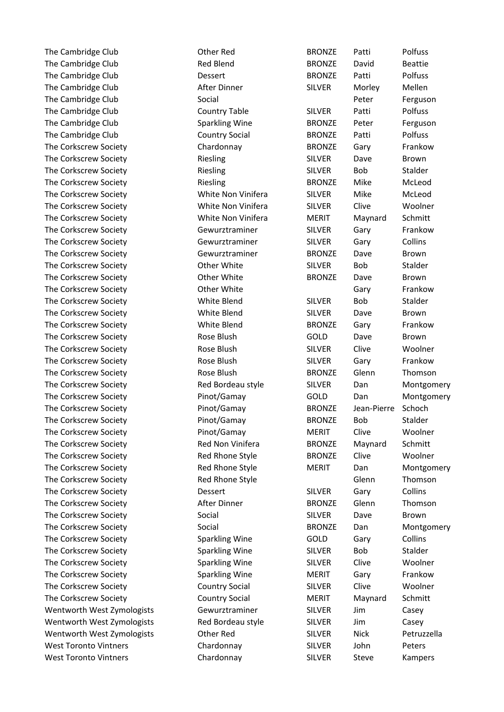The Cambridge Club **Cambridge Club** Club Cother Red BRONZE Patti Polfuss The Cambridge Club **Red Blend** Beattie BRONZE David Beattie The Cambridge Club **Dessert** BRONZE Patti Polfuss The Cambridge Club **After Dinner** SILVER Morley Mellen The Cambridge Club **Social** Social And Social Peter Ferguson The Cambridge Club Country Table SILVER Patti Polfuss The Cambridge Club Sparkling Wine BRONZE Peter Ferguson The Cambridge Club Country Social BRONZE Patti Polfuss The Corkscrew Society **Chardonnay** Chardonnay BRONZE Gary Frankow The Corkscrew Society **Riesling SILVER** Dave Brown The Corkscrew Society **Riesling SILVER** Bob Stalder The Corkscrew Society **Riesling Community** BRONZE Mike McLeod The Corkscrew Society White Non Vinifera SILVER Mike McLeod The Corkscrew Society White Non Vinifera SILVER Clive Woolner The Corkscrew Society **Maynard White Non Vinifera** MERIT Maynard Schmitt The Corkscrew Society **Gewurztraminer** SILVER Gary Frankow The Corkscrew Society **Gewurztraminer** SILVER Gary Collins The Corkscrew Society **Gewurztraminer** BRONZE Dave Brown The Corkscrew Society **Correspondent Corporation** Other White SILVER Bob Stalder The Corkscrew Society **Communist Controller Controller Milter Controller Brown** Brown The Corkscrew Society **Communist Coreal Corporation** Other White Gary Gary Frankow The Corkscrew Society **Silver White Blend** SILVER Bob Stalder The Corkscrew Society **Silvers and SILVER** Dave Brown The Corkscrew Society **Society** White Blend BRONZE Gary Frankow The Corkscrew Society **Rose Blush** Rose Blush GOLD Dave Brown The Corkscrew Society **Rose Blush SILVER** Clive Woolner The Corkscrew Society **Rose Blush SILVER** Gary Frankow The Corkscrew Society **Rose Blush** BRONZE Glenn Thomson The Corkscrew Society **Red Bordeau style SILVER** Dan Montgomery The Corkscrew Society Pinot/Gamay GOLD Dan Montgomery The Corkscrew Society **Pinot/Gamay** BRONZE Jean-Pierre Schoch The Corkscrew Society **Pinot/Gamay** BRONZE Bob Stalder The Corkscrew Society **Pinot/Gamay** MERIT Clive Woolner The Corkscrew Society **Red Non Vinifera** BRONZE Maynard Schmitt The Corkscrew Society **Red Rhone Style BRONZE** Clive Woolner The Corkscrew Society **Red Rhone Style MERIT** Dan Montgomery The Corkscrew Society **Red Rhone Style Corkscrew Society** Red Rhone Style Glenn Glenn Thomson The Corkscrew Society **Dessert** Dessert SILVER Gary Collins The Corkscrew Society **After Dinner** BRONZE Glenn Thomson The Corkscrew Society **Social SILVER** Dave Brown The Corkscrew Society **Social** According Social BRONZE Dan Montgomery The Corkscrew Society **Sparkling Wine** GOLD Gary Collins The Corkscrew Society **Sparkling Wine** SILVER Bob Stalder The Corkscrew Society **Sparkling Wine** SILVER Clive Woolner The Corkscrew Society **Sparkling Wine** MERIT Gary Frankow The Corkscrew Society **Country Social SILVER** Clive Woolner The Corkscrew Society **Country Social** MERIT Maynard Schmitt Wentworth West Zymologists Gewurztraminer SILVER Jim Casey Wentworth West Zymologists Red Bordeau style SILVER Jim Casey Wentworth West Zymologists Other Red SILVER Nick Petruzzella West Toronto Vintners Chardonnay SILVER John Peters West Toronto Vintners **Chardonnay** SILVER Steve Kampers